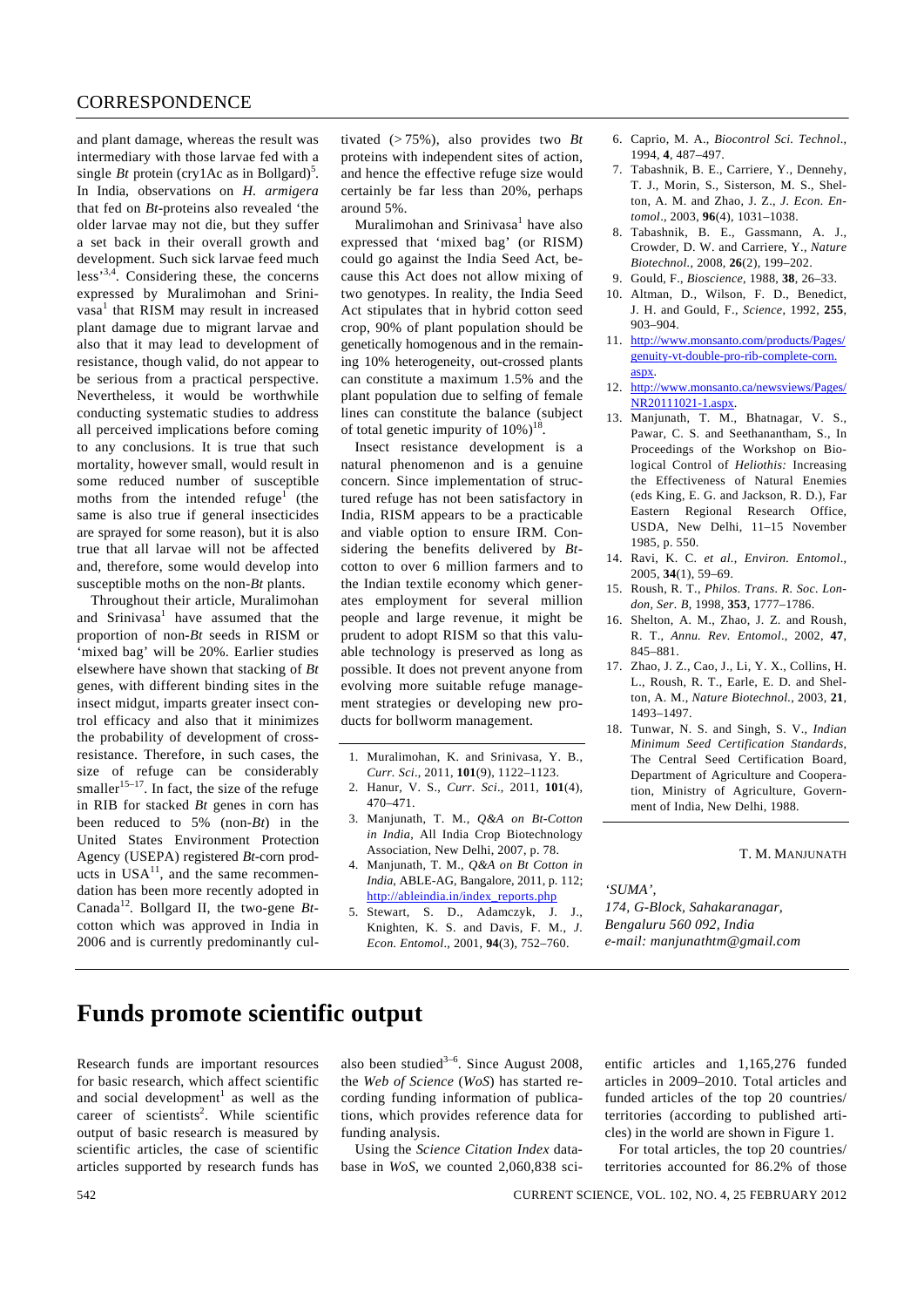and plant damage, whereas the result was intermediary with those larvae fed with a single *Bt* protein (cry1Ac as in Bollgard)<sup>5</sup>. In India, observations on *H. armigera* that fed on *Bt*-proteins also revealed 'the older larvae may not die, but they suffer a set back in their overall growth and development. Such sick larvae feed much less'3,4*.* Considering these, the concerns expressed by Muralimohan and Srinivasa<sup>1</sup> that RISM may result in increased plant damage due to migrant larvae and also that it may lead to development of resistance, though valid, do not appear to be serious from a practical perspective. Nevertheless, it would be worthwhile conducting systematic studies to address all perceived implications before coming to any conclusions. It is true that such mortality, however small, would result in some reduced number of susceptible moths from the intended refuge<sup>1</sup> (the same is also true if general insecticides are sprayed for some reason), but it is also true that all larvae will not be affected and, therefore, some would develop into susceptible moths on the non-*Bt* plants.

 Throughout their article, Muralimohan and Srinivasa<sup>1</sup> have assumed that the proportion of non-*Bt* seeds in RISM or 'mixed bag' will be 20%. Earlier studies elsewhere have shown that stacking of *Bt* genes, with different binding sites in the insect midgut, imparts greater insect control efficacy and also that it minimizes the probability of development of crossresistance. Therefore, in such cases, the size of refuge can be considerably smaller<sup>15–17</sup>. In fact, the size of the refuge in RIB for stacked *Bt* genes in corn has been reduced to 5% (non-*Bt*) in the United States Environment Protection Agency (USEPA) registered *Bt*-corn products in  $USA^{11}$ , and the same recommendation has been more recently adopted in Canada<sup>12</sup>*.* Bollgard II, the two-gene *Bt*cotton which was approved in India in 2006 and is currently predominantly cul-

tivated (> 75%), also provides two *Bt* proteins with independent sites of action, and hence the effective refuge size would certainly be far less than 20%, perhaps around 5%.

Muralimohan and Srinivasa<sup>1</sup> have also expressed that 'mixed bag' (or RISM) could go against the India Seed Act, because this Act does not allow mixing of two genotypes. In reality, the India Seed Act stipulates that in hybrid cotton seed crop, 90% of plant population should be genetically homogenous and in the remaining 10% heterogeneity, out-crossed plants can constitute a maximum 1.5% and the plant population due to selfing of female lines can constitute the balance (subject of total genetic impurity of  $10\%$ <sup>18</sup>.

Insect resistance development is a natural phenomenon and is a genuine concern. Since implementation of structured refuge has not been satisfactory in India, RISM appears to be a practicable and viable option to ensure IRM. Considering the benefits delivered by *Bt*cotton to over 6 million farmers and to the Indian textile economy which generates employment for several million people and large revenue, it might be prudent to adopt RISM so that this valuable technology is preserved as long as possible. It does not prevent anyone from evolving more suitable refuge management strategies or developing new products for bollworm management.

- 1. Muralimohan, K. and Srinivasa, Y. B., *Curr. Sci*., 2011, **101**(9), 1122–1123.
- 2. Hanur, V. S., *Curr. Sci*., 2011, **101**(4), 470–471.
- 3. Manjunath, T. M., *Q&A on Bt-Cotton in India*, All India Crop Biotechnology Association, New Delhi, 2007, p. 78.
- 4. Manjunath, T. M., *Q&A on Bt Cotton in India*, ABLE-AG, Bangalore, 2011, p. 112; http://ableindia.in/index\_reports.php
- 5. Stewart, S. D., Adamczyk, J. J., Knighten, K. S. and Davis, F. M., *J. Econ. Entomol*., 2001, **94**(3), 752–760.
- 6. Caprio, M. A., *Biocontrol Sci. Technol*., 1994, **4**, 487–497.
- 7. Tabashnik, B. E., Carriere, Y., Dennehy, T. J., Morin, S., Sisterson, M. S., Shelton, A. M. and Zhao, J. Z., *J. Econ. Entomol*., 2003, **96**(4), 1031–1038.
- 8. Tabashnik, B. E., Gassmann, A. J., Crowder, D. W. and Carriere, Y., *Nature Biotechnol.*, 2008, **26**(2), 199–202.
- 9. Gould, F., *Bioscience*, 1988, **38**, 26–33.
- 10. Altman, D., Wilson, F. D., Benedict, J. H. and Gould, F., *Science*, 1992, **255**, 903–904.
- 11. http://www.monsanto.com/products/Pages/ genuity-vt-double-pro-rib-complete-corn. aspx.
- 12. http://www.monsanto.ca/newsviews/Pages/ NR20111021-1.aspx.
- 13. Manjunath, T. M., Bhatnagar, V. S., Pawar, C. S. and Seethanantham, S., In Proceedings of the Workshop on Biological Control of *Heliothis:* Increasing the Effectiveness of Natural Enemies (eds King, E. G. and Jackson, R. D.), Far Eastern Regional Research Office, USDA, New Delhi, 11–15 November 1985, p. 550.
- 14. Ravi, K. C. *et al.*, *Environ. Entomol*., 2005, **34**(1), 59–69.
- 15. Roush, R. T., *Philos. Trans. R. Soc. London, Ser. B*, 1998, **353**, 1777–1786.
- 16. Shelton, A. M., Zhao, J. Z. and Roush, R. T., *Annu. Rev. Entomol*., 2002, **47**, 845–881.
- 17. Zhao, J. Z., Cao, J., Li, Y. X., Collins, H. L., Roush, R. T., Earle, E. D. and Shelton, A. M., *Nature Biotechnol.*, 2003, **21**, 1493–1497.
- 18. Tunwar, N. S. and Singh, S. V., *Indian Minimum Seed Certification Standards*, The Central Seed Certification Board, Department of Agriculture and Cooperation, Ministry of Agriculture, Government of India, New Delhi, 1988.

## T. M. MANJUNATH

*'SUMA', 174, G-Block, Sahakaranagar, Bengaluru 560 092, India e-mail: manjunathtm@gmail.com* 

## **Funds promote scientific output**

Research funds are important resources for basic research, which affect scientific and social development<sup>1</sup> as well as the career of scientists<sup>2</sup>. While scientific output of basic research is measured by scientific articles, the case of scientific articles supported by research funds has

 Using the *Science Citation Index* database in *WoS*, we counted 2,060,838 scientific articles and 1,165,276 funded articles in 2009–2010. Total articles and funded articles of the top 20 countries/ territories (according to published articles) in the world are shown in Figure 1.

 For total articles, the top 20 countries/ territories accounted for 86.2% of those